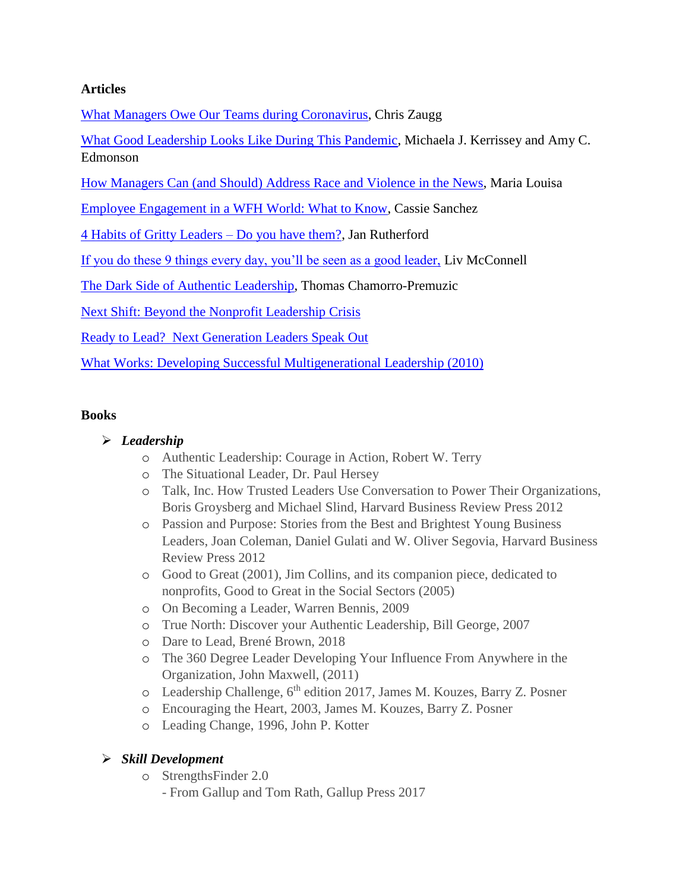## **Articles**

[What Managers Owe Our Teams during Coronavirus,](https://uptickapp.com/blog/what-managers-owe-our-teams-during-coronavirus) Chris Zaugg

[What Good Leadership Looks Like During This Pandemic,](https://hbr.org/2020/04/what-good-leadership-looks-like-during-this-pandemic) Michaela J. Kerrissey and Amy C. Edmonson

[How Managers Can \(and Should\) Address Race and Violence in the News,](https://medium.com/equality-includes-you/how-managers-can-and-should-address-race-and-violence-in-the-news-547d813f2f00) Maria Louisa

[Employee Engagement in a WFH World: What to Know,](https://textio.com/blog/employee-engagement-in-a-wfh-world-what-to-know/27387869104) Cassie Sanchez

[4 Habits of Gritty Leaders –](https://www.linkedin.com/business/learning/blog/productivity-tips/4-habits-of-gritty-leadersdo-you-have-them-) Do you have them?, Jan Rutherford

[If you do these 9 things every day, you'll be seen as a good leader,](https://www.theladders.com/career-advice/if-you-do-these-9-things-every-day-youll-be-seen-as-a-good-leader) Liv McConnell

[The Dark Side of Authentic Leadership,](https://www.forbes.com/sites/tomaspremuzic/2020/10/28/the-dark-side-of-authentic-leadership/?sh=16877da83c5c) Thomas Chamorro-Premuzic

[Next Shift: Beyond the Nonprofit Leadership Crisis](https://buildingmovement.org/reports/next-shift-beyond-the-nonprofit-leadership-crisis/)

Ready to Lead? [Next Generation Leaders Speak Out](https://www.nyscommunityaction.org/assets/Ready%20to%20Lead.pdf)

[What Works: Developing Successful Multigenerational Leadership \(2010\)](https://buildingmovement.org/reports/what-works-developing-successful-multigenerational-leadership/)

### **Books**

## *Leadership*

- o Authentic Leadership: Courage in Action, Robert W. Terry
- o The Situational Leader, Dr. Paul Hersey
- o Talk, Inc. How Trusted Leaders Use Conversation to Power Their Organizations, Boris Groysberg and Michael Slind, Harvard Business Review Press 2012
- o Passion and Purpose: Stories from the Best and Brightest Young Business Leaders, Joan Coleman, Daniel Gulati and W. Oliver Segovia, Harvard Business Review Press 2012
- o Good to Great (2001)*,* Jim Collins, and its companion piece, dedicated to nonprofits, Good to Great in the Social Sectors (2005)
- o On Becoming a Leader, Warren Bennis, 2009
- o True North: Discover your Authentic Leadership, Bill George, 2007
- o Dare to Lead, Brené Brown, 2018
- o The 360 Degree Leader Developing Your Influence From Anywhere in the Organization, John Maxwell, (2011)
- o Leadership Challenge, 6<sup>th</sup> edition 2017, James M. Kouzes, Barry Z. Posner
- o Encouraging the Heart, 2003, James M. Kouzes, Barry Z. Posner
- o Leading Change, 1996, John P. Kotter

# *Skill Development*

- o StrengthsFinder 2.0
	- From Gallup and Tom Rath, Gallup Press 2017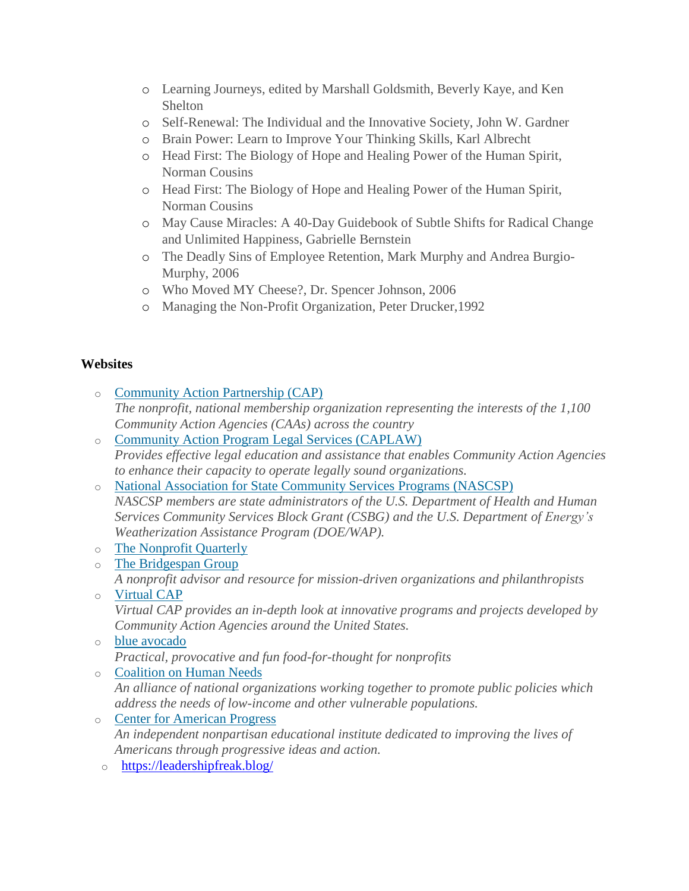- o Learning Journeys, edited by Marshall Goldsmith, Beverly Kaye, and Ken Shelton
- o Self-Renewal: The Individual and the Innovative Society, John W. Gardner
- o Brain Power: Learn to Improve Your Thinking Skills, Karl Albrecht
- o Head First: The Biology of Hope and Healing Power of the Human Spirit, Norman Cousins
- o Head First: The Biology of Hope and Healing Power of the Human Spirit, Norman Cousins
- o May Cause Miracles: A 40-Day Guidebook of Subtle Shifts for Radical Change and Unlimited Happiness, Gabrielle Bernstein
- o The Deadly Sins of Employee Retention, Mark Murphy and Andrea Burgio-Murphy, 2006
- o Who Moved MY Cheese?, Dr. Spencer Johnson, 2006
- o Managing the Non-Profit Organization, Peter Drucker,1992

### **Websites**

- o [Community](http://www.communityactionpartnership.com/) Action Partnership (CAP) *The nonprofit, national membership organization representing the interests of the 1,100 Community Action Agencies (CAAs) across the country*
- o Community Action Program Legal Services [\(CAPLAW\)](http://www.caplaw.org/) *Provides effective legal education and assistance that enables Community Action Agencies to enhance their capacity to operate legally sound organizations.*
- o National Association for State [Community](http://www.nascsp.org/) Services Programs (NASCSP) *NASCSP members are state administrators of the U.S. Department of Health and Human Services Community Services Block Grant (CSBG) and the U.S. Department of Energy's Weatherization Assistance Program (DOE/WAP).*
- o The [Nonprofit](http://www.nonprofitquarterly.org/) Quarterly
- o The [Bridgespan](http://www.bridgespan.org/) Group *A nonprofit advisor and resource for mission-driven organizations and philanthropists*
- o [Virtual](http://www.virtualcap.org/) CAP *Virtual CAP provides an in-depth look at innovative programs and projects developed by Community Action Agencies around the United States.*
- o blue [avocado](http://www.blueavocado.org/category/topic/board-cafe) *Practical, provocative and fun food-for-thought for nonprofits*
- o [Coalition](http://www.chn.org/) on Human Needs *An alliance of national organizations working together to promote public policies which address the needs of low-income and other vulnerable populations.*
- o Center for [American](http://www.americanprogress.org/) Progress *An independent nonpartisan educational institute dedicated to improving the lives of Americans through progressive ideas and action.*
- o <https://leadershipfreak.blog/>